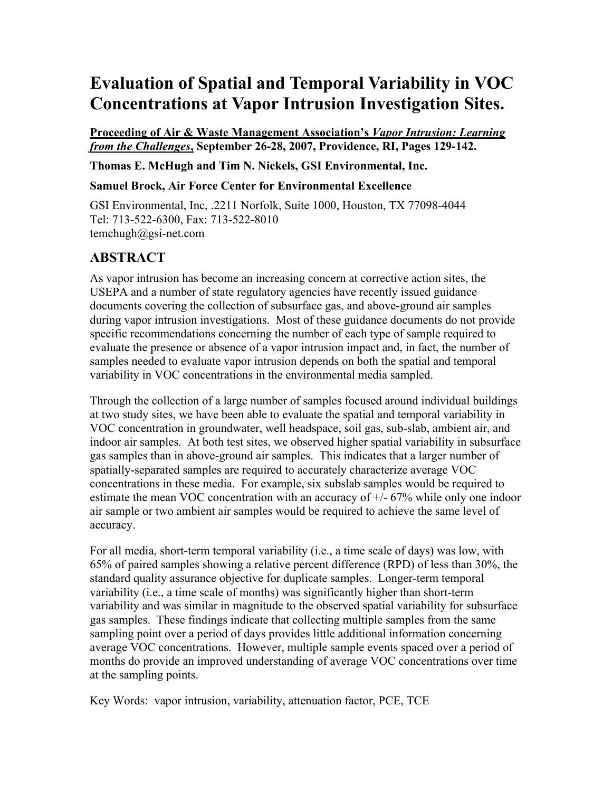# **Evaluation of Spatial and Temporal Variability in VOC Concentrations at Vapor Intrusion Investigation Sites.**

**Proceeding of Air & Waste Management Association's** *Vapor Intrusion: Learning from the Challenges***, September 26-28, 2007, Providence, RI, Pages 129-142.**

**Thomas E. McHugh and Tim N. Nickels, GSI Environmental, Inc.**

**Samuel Brock, Air Force Center for Environmental Excellence**

GSI Environmental, Inc, .2211 Norfolk, Suite 1000, Houston, TX 77098-4044 Tel: 713-522-6300, Fax: 713-522-8010 temchugh@gsi-net.com

# **ABSTRACT**

As vapor intrusion has become an increasing concern at corrective action sites, the USEPA and a number of state regulatory agencies have recently issued guidance documents covering the collection of subsurface gas, and above-ground air samples during vapor intrusion investigations. Most of these guidance documents do not provide specific recommendations concerning the number of each type of sample required to evaluate the presence or absence of a vapor intrusion impact and, in fact, the number of samples needed to evaluate vapor intrusion depends on both the spatial and temporal variability in VOC concentrations in the environmental media sampled.

Through the collection of a large number of samples focused around individual buildings at two study sites, we have been able to evaluate the spatial and temporal variability in VOC concentration in groundwater, well headspace, soil gas, sub-slab, ambient air, and indoor air samples. At both test sites, we observed higher spatial variability in subsurface gas samples than in above-ground air samples. This indicates that a larger number of spatially-separated samples are required to accurately characterize average VOC concentrations in these media. For example, six subslab samples would be required to estimate the mean VOC concentration with an accuracy of +/- 67% while only one indoor air sample or two ambient air samples would be required to achieve the same level of accuracy.

For all media, short-term temporal variability (i.e., a time scale of days) was low, with 65% of paired samples showing a relative percent difference (RPD) of less than 30%, the standard quality assurance objective for duplicate samples. Longer-term temporal variability (i.e., a time scale of months) was significantly higher than short-term variability and was similar in magnitude to the observed spatial variability for subsurface gas samples. These findings indicate that collecting multiple samples from the same sampling point over a period of days provides little additional information concerning average VOC concentrations. However, multiple sample events spaced over a period of months do provide an improved understanding of average VOC concentrations over time at the sampling points.

Key Words: vapor intrusion, variability, attenuation factor, PCE, TCE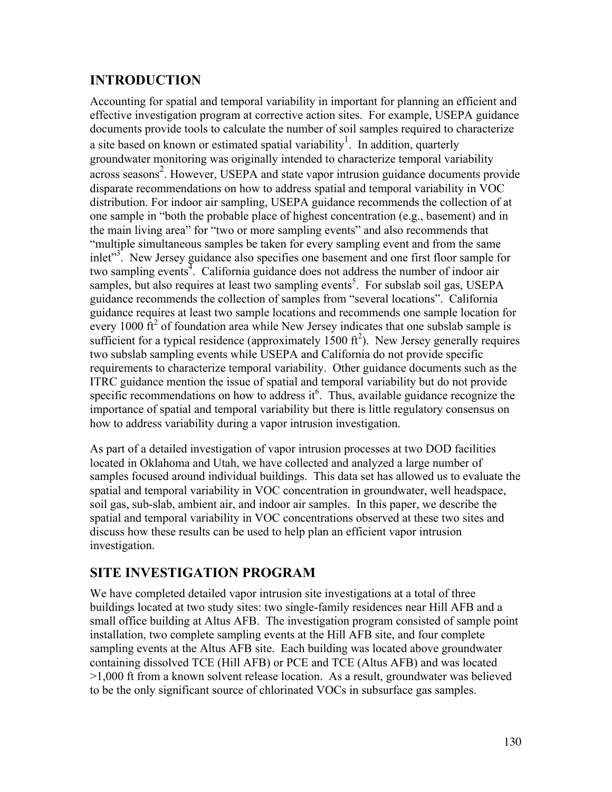# **INTRODUCTION**

Accounting for spatial and temporal variability in important for planning an efficient and effective investigation program at corrective action sites. For example, USEPA guidance documents provide tools to calculate the number of soil samples required to characterize a site based on known or estimated spatial variability<sup>1</sup>. In addition, quarterly groundwater monitoring was originally intended to characterize temporal variability across seasons<sup>2</sup>. However, USEPA and state vapor intrusion guidance documents provide disparate recommendations on how to address spatial and temporal variability in VOC distribution. For indoor air sampling, USEPA guidance recommends the collection of at one sample in "both the probable place of highest concentration (e.g., basement) and in the main living area" for "two or more sampling events" and also recommends that "multiple simultaneous samples be taken for every sampling event and from the same inlet"<sup>3</sup>. New Jersey guidance also specifies one basement and one first floor sample for two sampling events<sup>4</sup>. California guidance does not address the number of indoor air samples, but also requires at least two sampling events<sup>5</sup>. For subslab soil gas, USEPA guidance recommends the collection of samples from "several locations". California guidance requires at least two sample locations and recommends one sample location for every 1000  $\hat{\text{ft}}^2$  of foundation area while New Jersey indicates that one subslab sample is sufficient for a typical residence (approximately  $1500 \text{ ft}^2$ ). New Jersey generally requires two subslab sampling events while USEPA and California do not provide specific requirements to characterize temporal variability. Other guidance documents such as the ITRC guidance mention the issue of spatial and temporal variability but do not provide specific recommendations on how to address it. Thus, available guidance recognize the importance of spatial and temporal variability but there is little regulatory consensus on how to address variability during a vapor intrusion investigation.

As part of a detailed investigation of vapor intrusion processes at two DOD facilities located in Oklahoma and Utah, we have collected and analyzed a large number of samples focused around individual buildings. This data set has allowed us to evaluate the spatial and temporal variability in VOC concentration in groundwater, well headspace, soil gas, sub-slab, ambient air, and indoor air samples. In this paper, we describe the spatial and temporal variability in VOC concentrations observed at these two sites and discuss how these results can be used to help plan an efficient vapor intrusion investigation.

# **SITE INVESTIGATION PROGRAM**

We have completed detailed vapor intrusion site investigations at a total of three buildings located at two study sites: two single-family residences near Hill AFB and a small office building at Altus AFB. The investigation program consisted of sample point installation, two complete sampling events at the Hill AFB site, and four complete sampling events at the Altus AFB site. Each building was located above groundwater containing dissolved TCE (Hill AFB) or PCE and TCE (Altus AFB) and was located >1,000 ft from a known solvent release location. As a result, groundwater was believed to be the only significant source of chlorinated VOCs in subsurface gas samples.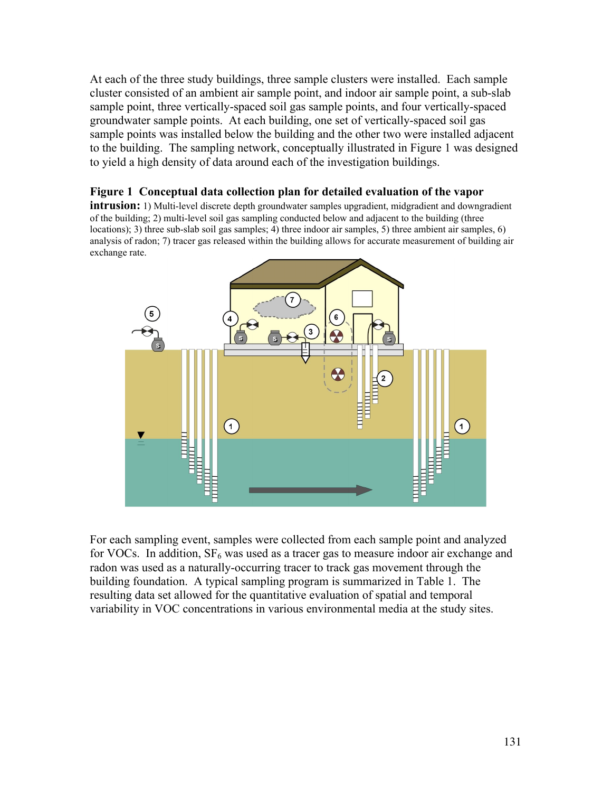At each of the three study buildings, three sample clusters were installed. Each sample cluster consisted of an ambient air sample point, and indoor air sample point, a sub-slab sample point, three vertically-spaced soil gas sample points, and four vertically-spaced groundwater sample points. At each building, one set of vertically-spaced soil gas sample points was installed below the building and the other two were installed adjacent to the building. The sampling network, conceptually illustrated in Figure 1 was designed to yield a high density of data around each of the investigation buildings.

#### **Figure 1 Conceptual data collection plan for detailed evaluation of the vapor**

**intrusion:** 1) Multi-level discrete depth groundwater samples upgradient, midgradient and downgradient of the building; 2) multi-level soil gas sampling conducted below and adjacent to the building (three locations); 3) three sub-slab soil gas samples; 4) three indoor air samples, 5) three ambient air samples, 6) analysis of radon; 7) tracer gas released within the building allows for accurate measurement of building air exchange rate.



For each sampling event, samples were collected from each sample point and analyzed for VOCs. In addition,  $SF_6$  was used as a tracer gas to measure indoor air exchange and radon was used as a naturally-occurring tracer to track gas movement through the building foundation. A typical sampling program is summarized in Table 1. The resulting data set allowed for the quantitative evaluation of spatial and temporal variability in VOC concentrations in various environmental media at the study sites.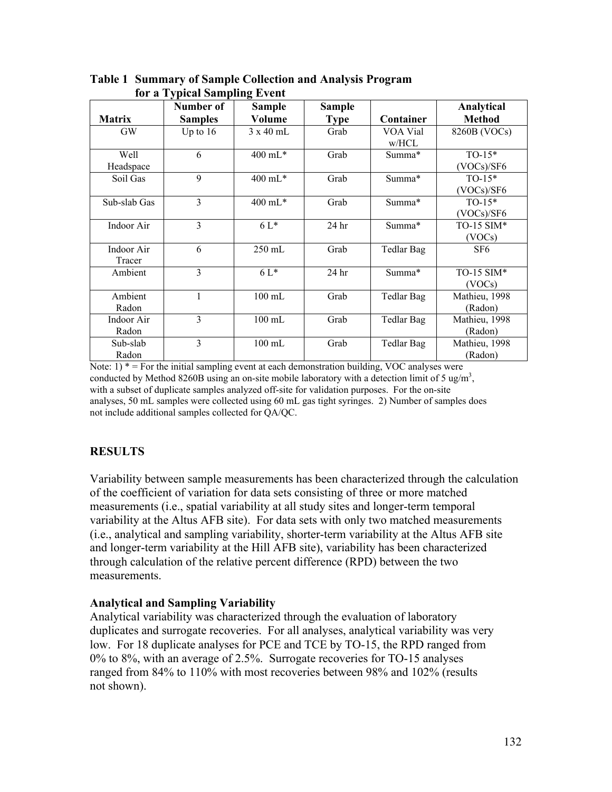| <b>Matrix</b>        | Number of<br><b>Samples</b> | <b>Sample</b><br>Volume | <b>Sample</b><br><b>Type</b> | Container         | Analytical<br><b>Method</b> |
|----------------------|-----------------------------|-------------------------|------------------------------|-------------------|-----------------------------|
| <b>GW</b>            | Up to $16$                  | $3 \times 40$ mL        | Grab                         | VOA Vial<br>w/HCL | 8260B (VOCs)                |
| Well<br>Headspace    | 6                           | $400 \text{ mL}$ *      | Grab                         | Summa*            | $TO-15*$<br>(VOCs)/SF6      |
| Soil Gas             | 9                           | 400 mL*                 | Grab                         | Summa*            | $TO-15*$<br>(VOCs)/SF6      |
| Sub-slab Gas         | 3                           | 400 mL*                 | Grab                         | Summa*            | $TO-15*$<br>(VOCs)/SF6      |
| Indoor Air           | 3                           | $6L^*$                  | 24 <sub>hr</sub>             | Summa*            | TO-15 SIM $*$<br>(VOCs)     |
| Indoor Air<br>Tracer | 6                           | 250 mL                  | Grab                         | Tedlar Bag        | SF <sub>6</sub>             |
| Ambient              | 3                           | $6L*$                   | 24 hr                        | Summa*            | TO-15 SIM*<br>(VOCs)        |
| Ambient<br>Radon     | 1                           | $100$ mL                | Grab                         | Tedlar Bag        | Mathieu, 1998<br>(Radon)    |
| Indoor Air<br>Radon  | 3                           | $100$ mL                | Grab                         | Tedlar Bag        | Mathieu, 1998<br>(Radon)    |
| Sub-slab<br>Radon    | 3                           | $100$ mL                | Grab                         | Tedlar Bag        | Mathieu, 1998<br>(Radon)    |

**Table 1 Summary of Sample Collection and Analysis Program for a Typical Sampling Event**

Note:  $1$ )  $* =$  For the initial sampling event at each demonstration building, VOC analyses were conducted by Method 8260B using an on-site mobile laboratory with a detection limit of 5 ug/m<sup>3</sup>, with a subset of duplicate samples analyzed off-site for validation purposes. For the on-site analyses, 50 mL samples were collected using 60 mL gas tight syringes. 2) Number of samples does not include additional samples collected for QA/QC.

### **RESULTS**

Variability between sample measurements has been characterized through the calculation of the coefficient of variation for data sets consisting of three or more matched measurements (i.e., spatial variability at all study sites and longer-term temporal variability at the Altus AFB site). For data sets with only two matched measurements (i.e., analytical and sampling variability, shorter-term variability at the Altus AFB site and longer-term variability at the Hill AFB site), variability has been characterized through calculation of the relative percent difference (RPD) between the two measurements.

#### **Analytical and Sampling Variability**

Analytical variability was characterized through the evaluation of laboratory duplicates and surrogate recoveries. For all analyses, analytical variability was very low. For 18 duplicate analyses for PCE and TCE by TO-15, the RPD ranged from 0% to 8%, with an average of 2.5%. Surrogate recoveries for TO-15 analyses ranged from 84% to 110% with most recoveries between 98% and 102% (results not shown).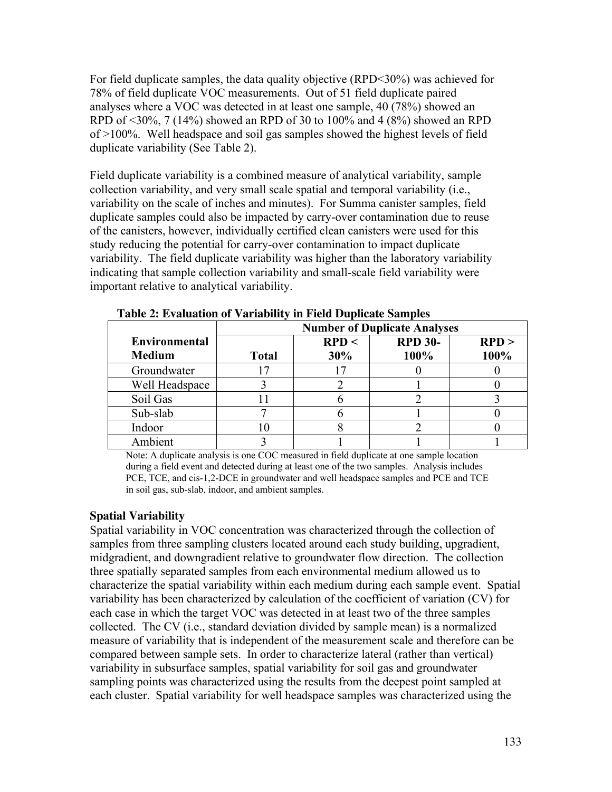For field duplicate samples, the data quality objective (RPD<30%) was achieved for 78% of field duplicate VOC measurements. Out of 51 field duplicate paired analyses where a VOC was detected in at least one sample, 40 (78%) showed an RPD of <30%, 7 (14%) showed an RPD of 30 to 100% and 4 (8%) showed an RPD of >100%. Well headspace and soil gas samples showed the highest levels of field duplicate variability (See Table 2).

Field duplicate variability is a combined measure of analytical variability, sample collection variability, and very small scale spatial and temporal variability (i.e., variability on the scale of inches and minutes). For Summa canister samples, field duplicate samples could also be impacted by carry-over contamination due to reuse of the canisters, however, individually certified clean canisters were used for this study reducing the potential for carry-over contamination to impact duplicate variability. The field duplicate variability was higher than the laboratory variability indicating that sample collection variability and small-scale field variability were important relative to analytical variability.

|                      |              | <b>Number of Duplicate Analyses</b> |                |       |
|----------------------|--------------|-------------------------------------|----------------|-------|
| <b>Environmental</b> |              | RPD <                               | <b>RPD 30-</b> | RPD > |
| <b>Medium</b>        | <b>Total</b> | 30%                                 | 100%           | 100%  |
| Groundwater          |              |                                     |                |       |
| Well Headspace       |              |                                     |                |       |
| Soil Gas             |              |                                     |                |       |
| Sub-slab             |              |                                     |                |       |
| Indoor               |              |                                     |                |       |
| Ambient              |              |                                     |                |       |

**Table 2: Evaluation of Variability in Field Duplicate Samples**

Note: A duplicate analysis is one COC measured in field duplicate at one sample location during a field event and detected during at least one of the two samples. Analysis includes PCE, TCE, and cis-1,2-DCE in groundwater and well headspace samples and PCE and TCE in soil gas, sub-slab, indoor, and ambient samples.

#### **Spatial Variability**

Spatial variability in VOC concentration was characterized through the collection of samples from three sampling clusters located around each study building, upgradient, midgradient, and downgradient relative to groundwater flow direction. The collection three spatially separated samples from each environmental medium allowed us to characterize the spatial variability within each medium during each sample event. Spatial variability has been characterized by calculation of the coefficient of variation (CV) for each case in which the target VOC was detected in at least two of the three samples collected. The CV (i.e., standard deviation divided by sample mean) is a normalized measure of variability that is independent of the measurement scale and therefore can be compared between sample sets. In order to characterize lateral (rather than vertical) variability in subsurface samples, spatial variability for soil gas and groundwater sampling points was characterized using the results from the deepest point sampled at each cluster. Spatial variability for well headspace samples was characterized using the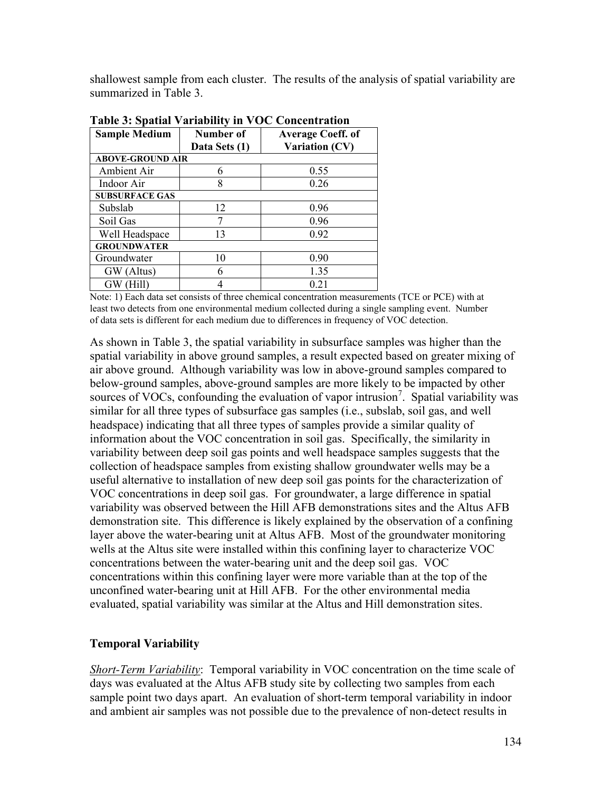shallowest sample from each cluster. The results of the analysis of spatial variability are summarized in Table 3.

| <b>Sample Medium</b>    | Number of     | <b>Average Coeff. of</b> |  |  |  |  |
|-------------------------|---------------|--------------------------|--|--|--|--|
|                         | Data Sets (1) | <b>Variation (CV)</b>    |  |  |  |  |
| <b>ABOVE-GROUND AIR</b> |               |                          |  |  |  |  |
| Ambient Air             | 6             | 0.55                     |  |  |  |  |
| Indoor Air              | 8             | 0.26                     |  |  |  |  |
| <b>SUBSURFACE GAS</b>   |               |                          |  |  |  |  |
| Subslab                 | 12            | 0.96                     |  |  |  |  |
| Soil Gas                |               | 0.96                     |  |  |  |  |
| Well Headspace          | 13            | 0.92                     |  |  |  |  |
| <b>GROUNDWATER</b>      |               |                          |  |  |  |  |
| Groundwater             | 10            | 0.90                     |  |  |  |  |
| GW (Altus)              | 6             | 1.35                     |  |  |  |  |
| GW (Hill)               |               | 0.21                     |  |  |  |  |

**Table 3: Spatial Variability in VOC Concentration**

Note: 1) Each data set consists of three chemical concentration measurements (TCE or PCE) with at least two detects from one environmental medium collected during a single sampling event. Number of data sets is different for each medium due to differences in frequency of VOC detection.

As shown in Table 3, the spatial variability in subsurface samples was higher than the spatial variability in above ground samples, a result expected based on greater mixing of air above ground. Although variability was low in above-ground samples compared to below-ground samples, above-ground samples are more likely to be impacted by other sources of VOCs, confounding the evaluation of vapor intrusion<sup>7</sup>. Spatial variability was similar for all three types of subsurface gas samples (i.e., subslab, soil gas, and well headspace) indicating that all three types of samples provide a similar quality of information about the VOC concentration in soil gas. Specifically, the similarity in variability between deep soil gas points and well headspace samples suggests that the collection of headspace samples from existing shallow groundwater wells may be a useful alternative to installation of new deep soil gas points for the characterization of VOC concentrations in deep soil gas. For groundwater, a large difference in spatial variability was observed between the Hill AFB demonstrations sites and the Altus AFB demonstration site. This difference is likely explained by the observation of a confining layer above the water-bearing unit at Altus AFB. Most of the groundwater monitoring wells at the Altus site were installed within this confining layer to characterize VOC concentrations between the water-bearing unit and the deep soil gas. VOC concentrations within this confining layer were more variable than at the top of the unconfined water-bearing unit at Hill AFB. For the other environmental media evaluated, spatial variability was similar at the Altus and Hill demonstration sites.

#### **Temporal Variability**

*Short-Term Variability*: Temporal variability in VOC concentration on the time scale of days was evaluated at the Altus AFB study site by collecting two samples from each sample point two days apart. An evaluation of short-term temporal variability in indoor and ambient air samples was not possible due to the prevalence of non-detect results in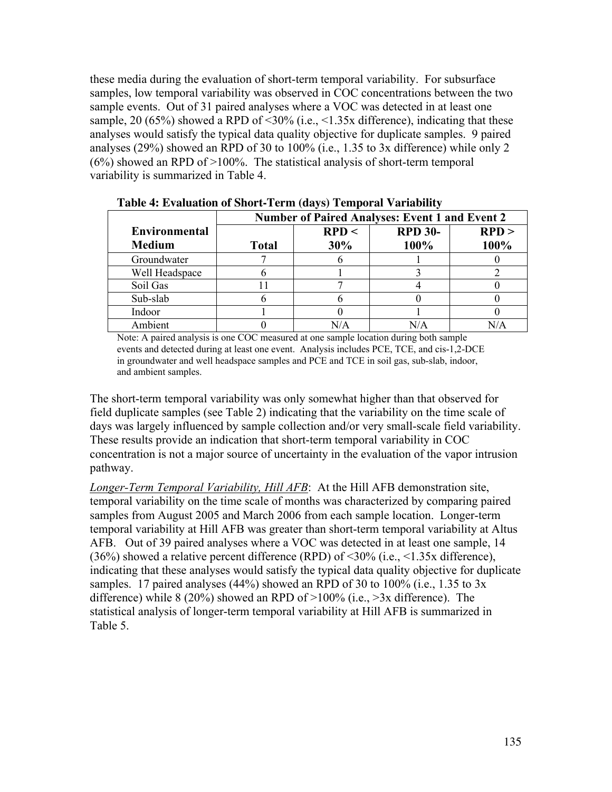these media during the evaluation of short-term temporal variability. For subsurface samples, low temporal variability was observed in COC concentrations between the two sample events. Out of 31 paired analyses where a VOC was detected in at least one sample, 20 (65%) showed a RPD of  $\leq 30\%$  (i.e.,  $\leq 1.35x$  difference), indicating that these analyses would satisfy the typical data quality objective for duplicate samples. 9 paired analyses (29%) showed an RPD of 30 to 100% (i.e., 1.35 to 3x difference) while only 2 (6%) showed an RPD of >100%. The statistical analysis of short-term temporal variability is summarized in Table 4.

| $\left($ we $\left($ , $\right)$ and $\left($ $\right)$ and $\left($ $\right)$ and $\left($ $\right)$ and $\left($ $\right)$ and $\left($ $\right)$ and $\left($ $\right)$ and $\left($ $\right)$ and $\left($ $\right)$ and $\left($ $\right)$ and $\left($ $\right)$ and $\left($ $\right)$ and $\left($ $\right)$ and $\left$ |                                                       |       |                |       |  |  |
|----------------------------------------------------------------------------------------------------------------------------------------------------------------------------------------------------------------------------------------------------------------------------------------------------------------------------------|-------------------------------------------------------|-------|----------------|-------|--|--|
|                                                                                                                                                                                                                                                                                                                                  | <b>Number of Paired Analyses: Event 1 and Event 2</b> |       |                |       |  |  |
| <b>Environmental</b>                                                                                                                                                                                                                                                                                                             |                                                       | RPD < | <b>RPD 30-</b> | RPD > |  |  |
| <b>Medium</b>                                                                                                                                                                                                                                                                                                                    | <b>Total</b>                                          | 30%   | 100%           | 100%  |  |  |
| Groundwater                                                                                                                                                                                                                                                                                                                      |                                                       |       |                |       |  |  |
| Well Headspace                                                                                                                                                                                                                                                                                                                   |                                                       |       |                |       |  |  |
| Soil Gas                                                                                                                                                                                                                                                                                                                         |                                                       |       |                |       |  |  |
| Sub-slab                                                                                                                                                                                                                                                                                                                         |                                                       |       |                |       |  |  |
| Indoor                                                                                                                                                                                                                                                                                                                           |                                                       |       |                |       |  |  |
| Ambient                                                                                                                                                                                                                                                                                                                          |                                                       |       | N/A            |       |  |  |

**Table 4: Evaluation of Short-Term (days) Temporal Variability**

Note: A paired analysis is one COC measured at one sample location during both sample events and detected during at least one event. Analysis includes PCE, TCE, and cis-1,2-DCE in groundwater and well headspace samples and PCE and TCE in soil gas, sub-slab, indoor, and ambient samples.

The short-term temporal variability was only somewhat higher than that observed for field duplicate samples (see Table 2) indicating that the variability on the time scale of days was largely influenced by sample collection and/or very small-scale field variability. These results provide an indication that short-term temporal variability in COC concentration is not a major source of uncertainty in the evaluation of the vapor intrusion pathway.

*Longer-Term Temporal Variability, Hill AFB*: At the Hill AFB demonstration site, temporal variability on the time scale of months was characterized by comparing paired samples from August 2005 and March 2006 from each sample location. Longer-term temporal variability at Hill AFB was greater than short-term temporal variability at Altus AFB. Out of 39 paired analyses where a VOC was detected in at least one sample, 14 (36%) showed a relative percent difference (RPD) of <30% (i.e., <1.35x difference), indicating that these analyses would satisfy the typical data quality objective for duplicate samples. 17 paired analyses  $(44%)$  showed an RPD of 30 to 100% (i.e., 1.35 to 3x difference) while 8 (20%) showed an RPD of  $>100\%$  (i.e.,  $>3x$  difference). The statistical analysis of longer-term temporal variability at Hill AFB is summarized in Table 5.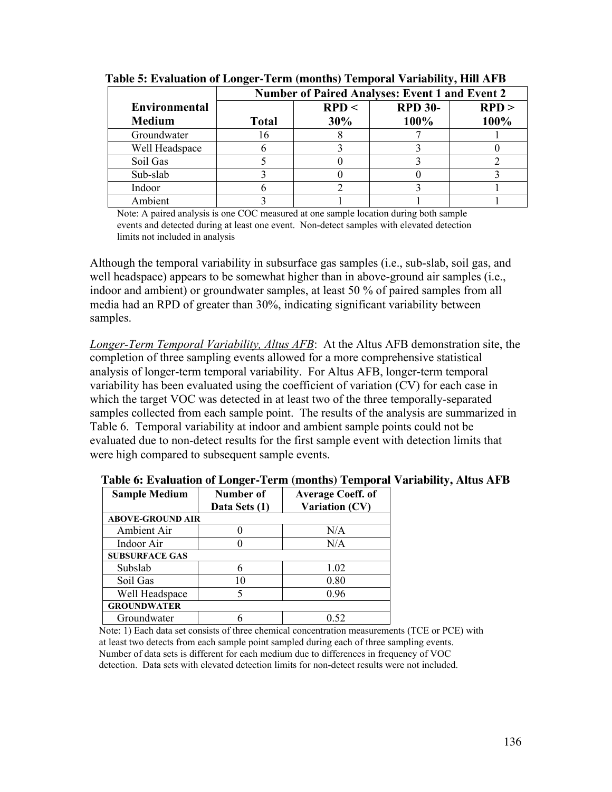|                      | <b>Number of Paired Analyses: Event 1 and Event 2</b> |       |                |       |  |
|----------------------|-------------------------------------------------------|-------|----------------|-------|--|
| <b>Environmental</b> |                                                       | RPD < | <b>RPD 30-</b> | RPD > |  |
| <b>Medium</b>        | <b>Total</b>                                          | 30%   | 100%           | 100%  |  |
| Groundwater          | 16                                                    |       |                |       |  |
| Well Headspace       |                                                       |       |                |       |  |
| Soil Gas             |                                                       |       |                |       |  |
| Sub-slab             |                                                       |       |                |       |  |
| Indoor               |                                                       |       |                |       |  |
| Ambient              |                                                       |       |                |       |  |

**Table 5: Evaluation of Longer-Term (months) Temporal Variability, Hill AFB**

Note: A paired analysis is one COC measured at one sample location during both sample events and detected during at least one event. Non-detect samples with elevated detection limits not included in analysis

Although the temporal variability in subsurface gas samples (i.e., sub-slab, soil gas, and well headspace) appears to be somewhat higher than in above-ground air samples (i.e., indoor and ambient) or groundwater samples, at least 50 % of paired samples from all media had an RPD of greater than 30%, indicating significant variability between samples.

*Longer-Term Temporal Variability, Altus AFB*: At the Altus AFB demonstration site, the completion of three sampling events allowed for a more comprehensive statistical analysis of longer-term temporal variability. For Altus AFB, longer-term temporal variability has been evaluated using the coefficient of variation (CV) for each case in which the target VOC was detected in at least two of the three temporally-separated samples collected from each sample point. The results of the analysis are summarized in Table 6. Temporal variability at indoor and ambient sample points could not be evaluated due to non-detect results for the first sample event with detection limits that were high compared to subsequent sample events.

| <b>Sample Medium</b>    | Number of<br>Data Sets (1) | <b>Average Coeff. of</b><br>Variation (CV) |
|-------------------------|----------------------------|--------------------------------------------|
| <b>ABOVE-GROUND AIR</b> |                            |                                            |
| Ambient Air             |                            | N/A                                        |
| Indoor Air              |                            | N/A                                        |
| <b>SUBSURFACE GAS</b>   |                            |                                            |
| Subslab                 | 6                          | 1.02                                       |
| Soil Gas                | 10                         | 0.80                                       |
| Well Headspace          |                            | 0.96                                       |
| <b>GROUNDWATER</b>      |                            |                                            |
| Groundwater             |                            | 0.52                                       |

**Table 6: Evaluation of Longer-Term (months) Temporal Variability, Altus AFB**

Note: 1) Each data set consists of three chemical concentration measurements (TCE or PCE) with at least two detects from each sample point sampled during each of three sampling events. Number of data sets is different for each medium due to differences in frequency of VOC detection. Data sets with elevated detection limits for non-detect results were not included.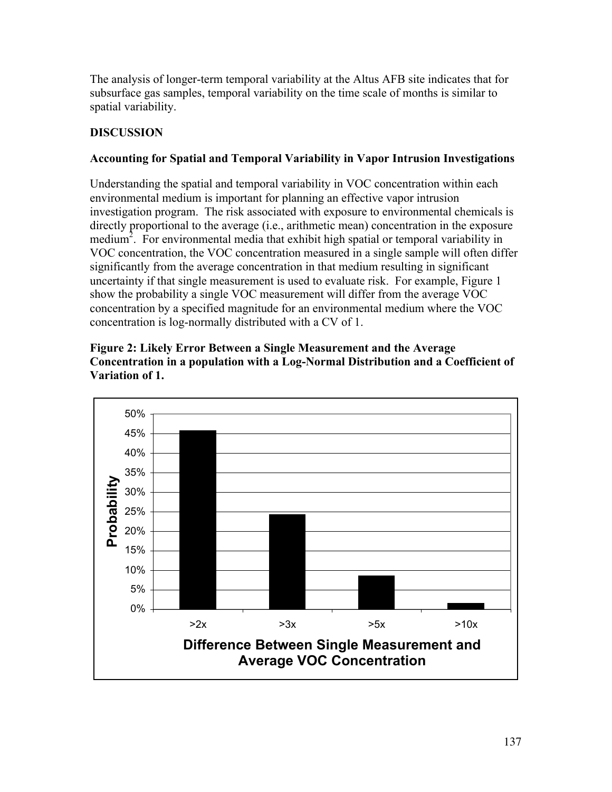The analysis of longer-term temporal variability at the Altus AFB site indicates that for subsurface gas samples, temporal variability on the time scale of months is similar to spatial variability.

### **DISCUSSION**

### **Accounting for Spatial and Temporal Variability in Vapor Intrusion Investigations**

Understanding the spatial and temporal variability in VOC concentration within each environmental medium is important for planning an effective vapor intrusion investigation program. The risk associated with exposure to environmental chemicals is directly proportional to the average (i.e., arithmetic mean) concentration in the exposure medium<sup>2</sup>. For environmental media that exhibit high spatial or temporal variability in VOC concentration, the VOC concentration measured in a single sample will often differ significantly from the average concentration in that medium resulting in significant uncertainty if that single measurement is used to evaluate risk. For example, Figure 1 show the probability a single VOC measurement will differ from the average VOC concentration by a specified magnitude for an environmental medium where the VOC concentration is log-normally distributed with a CV of 1.



**Figure 2: Likely Error Between a Single Measurement and the Average Concentration in a population with a Log-Normal Distribution and a Coefficient of Variation of 1.**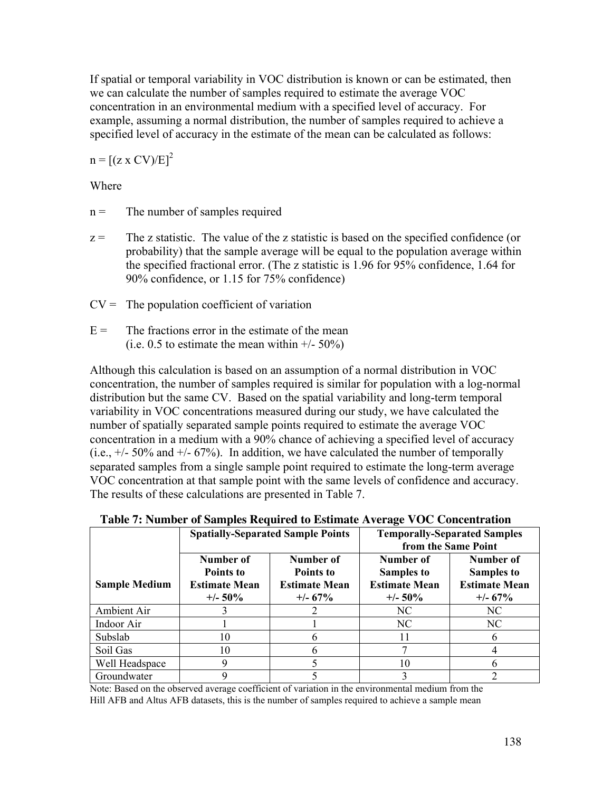If spatial or temporal variability in VOC distribution is known or can be estimated, then we can calculate the number of samples required to estimate the average VOC concentration in an environmental medium with a specified level of accuracy. For example, assuming a normal distribution, the number of samples required to achieve a specified level of accuracy in the estimate of the mean can be calculated as follows:

 $n = [(z \times CV)/E]^2$ 

### Where

- $n =$  The number of samples required
- $z =$  The z statistic. The value of the z statistic is based on the specified confidence (or probability) that the sample average will be equal to the population average within the specified fractional error. (The z statistic is 1.96 for 95% confidence, 1.64 for 90% confidence, or 1.15 for 75% confidence)
- $CV =$  The population coefficient of variation
- $E =$  The fractions error in the estimate of the mean (i.e.  $0.5$  to estimate the mean within  $+/-50\%$ )

Although this calculation is based on an assumption of a normal distribution in VOC concentration, the number of samples required is similar for population with a log-normal distribution but the same CV. Based on the spatial variability and long-term temporal variability in VOC concentrations measured during our study, we have calculated the number of spatially separated sample points required to estimate the average VOC concentration in a medium with a 90% chance of achieving a specified level of accuracy  $(i.e., +/- 50\%$  and  $+/- 67\%)$ . In addition, we have calculated the number of temporally separated samples from a single sample point required to estimate the long-term average VOC concentration at that sample point with the same levels of confidence and accuracy. The results of these calculations are presented in Table 7.

| Table 7. Fulliber of Samples Required to Estimate Average VOC Concentration |                                                              |                                                              |                                                                      |                                                                      |  |  |
|-----------------------------------------------------------------------------|--------------------------------------------------------------|--------------------------------------------------------------|----------------------------------------------------------------------|----------------------------------------------------------------------|--|--|
|                                                                             |                                                              | <b>Spatially-Separated Sample Points</b>                     | <b>Temporally-Separated Samples</b><br>from the Same Point           |                                                                      |  |  |
| <b>Sample Medium</b>                                                        | Number of<br>Points to<br><b>Estimate Mean</b><br>$+/- 50\%$ | Number of<br>Points to<br><b>Estimate Mean</b><br>$+/- 67\%$ | Number of<br><b>Samples to</b><br><b>Estimate Mean</b><br>$+/- 50\%$ | Number of<br><b>Samples to</b><br><b>Estimate Mean</b><br>$+/- 67\%$ |  |  |
| Ambient Air                                                                 |                                                              |                                                              | NC.                                                                  | NC.                                                                  |  |  |
| Indoor Air                                                                  |                                                              |                                                              | NC.                                                                  | NC.                                                                  |  |  |
| Subslab                                                                     | 10                                                           | n                                                            | 11                                                                   | n                                                                    |  |  |
| Soil Gas                                                                    | 10                                                           |                                                              |                                                                      |                                                                      |  |  |
| Well Headspace                                                              | 9                                                            |                                                              | 10                                                                   | n                                                                    |  |  |
| Groundwater                                                                 |                                                              |                                                              |                                                                      |                                                                      |  |  |

**Table 7: Number of Samples Required to Estimate Average VOC Concentration**

Note: Based on the observed average coefficient of variation in the environmental medium from the Hill AFB and Altus AFB datasets, this is the number of samples required to achieve a sample mean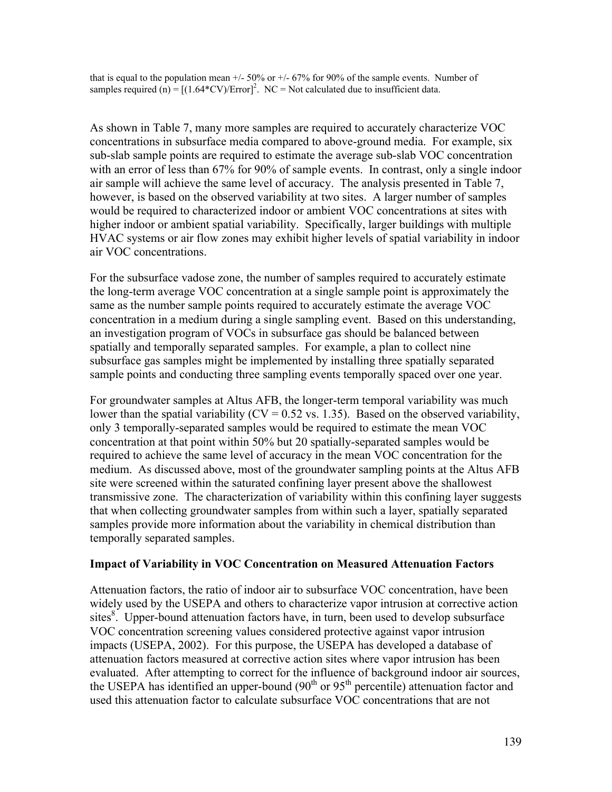that is equal to the population mean  $+/-50\%$  or  $+/-67\%$  for 90% of the sample events. Number of samples required (n) =  $[(1.64*CV/Error]^2$ . NC = Not calculated due to insufficient data.

As shown in Table 7, many more samples are required to accurately characterize VOC concentrations in subsurface media compared to above-ground media. For example, six sub-slab sample points are required to estimate the average sub-slab VOC concentration with an error of less than 67% for 90% of sample events. In contrast, only a single indoor air sample will achieve the same level of accuracy. The analysis presented in Table 7, however, is based on the observed variability at two sites. A larger number of samples would be required to characterized indoor or ambient VOC concentrations at sites with higher indoor or ambient spatial variability. Specifically, larger buildings with multiple HVAC systems or air flow zones may exhibit higher levels of spatial variability in indoor air VOC concentrations.

For the subsurface vadose zone, the number of samples required to accurately estimate the long-term average VOC concentration at a single sample point is approximately the same as the number sample points required to accurately estimate the average VOC concentration in a medium during a single sampling event. Based on this understanding, an investigation program of VOCs in subsurface gas should be balanced between spatially and temporally separated samples. For example, a plan to collect nine subsurface gas samples might be implemented by installing three spatially separated sample points and conducting three sampling events temporally spaced over one year.

For groundwater samples at Altus AFB, the longer-term temporal variability was much lower than the spatial variability ( $CV = 0.52$  vs. 1.35). Based on the observed variability, only 3 temporally-separated samples would be required to estimate the mean VOC concentration at that point within 50% but 20 spatially-separated samples would be required to achieve the same level of accuracy in the mean VOC concentration for the medium. As discussed above, most of the groundwater sampling points at the Altus AFB site were screened within the saturated confining layer present above the shallowest transmissive zone. The characterization of variability within this confining layer suggests that when collecting groundwater samples from within such a layer, spatially separated samples provide more information about the variability in chemical distribution than temporally separated samples.

#### **Impact of Variability in VOC Concentration on Measured Attenuation Factors**

Attenuation factors, the ratio of indoor air to subsurface VOC concentration, have been widely used by the USEPA and others to characterize vapor intrusion at corrective action sites<sup>8</sup>. Upper-bound attenuation factors have, in turn, been used to develop subsurface VOC concentration screening values considered protective against vapor intrusion impacts (USEPA, 2002). For this purpose, the USEPA has developed a database of attenuation factors measured at corrective action sites where vapor intrusion has been evaluated. After attempting to correct for the influence of background indoor air sources, the USEPA has identified an upper-bound  $(90<sup>th</sup>$  or  $95<sup>th</sup>$  percentile) attenuation factor and used this attenuation factor to calculate subsurface VOC concentrations that are not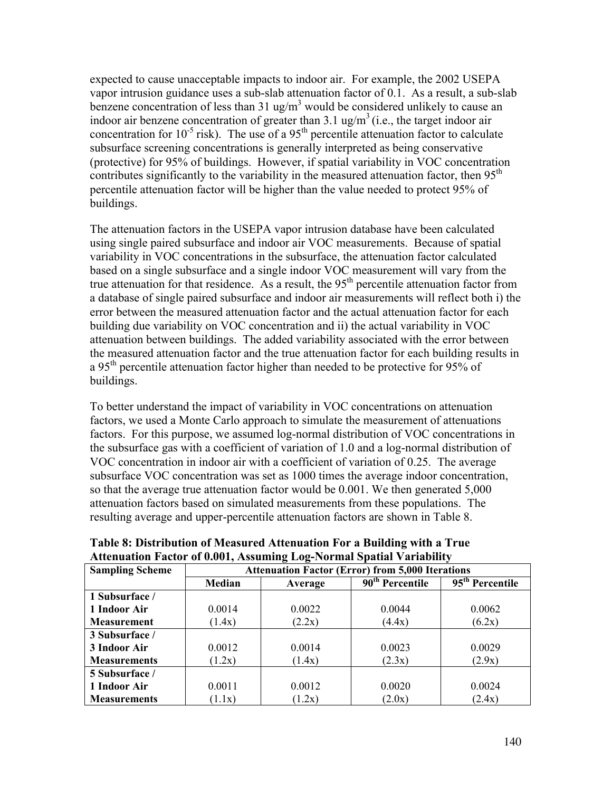expected to cause unacceptable impacts to indoor air. For example, the 2002 USEPA vapor intrusion guidance uses a sub-slab attenuation factor of 0.1. As a result, a sub-slab benzene concentration of less than  $31 \text{ ug/m}^3$  would be considered unlikely to cause an indoor air benzene concentration of greater than  $3.1 \text{ ug/m}^3$  (i.e., the target indoor air concentration for  $10^{-5}$  risk). The use of a 95<sup>th</sup> percentile attenuation factor to calculate subsurface screening concentrations is generally interpreted as being conservative (protective) for 95% of buildings. However, if spatial variability in VOC concentration contributes significantly to the variability in the measured attenuation factor, then  $95<sup>th</sup>$ percentile attenuation factor will be higher than the value needed to protect 95% of buildings.

The attenuation factors in the USEPA vapor intrusion database have been calculated using single paired subsurface and indoor air VOC measurements. Because of spatial variability in VOC concentrations in the subsurface, the attenuation factor calculated based on a single subsurface and a single indoor VOC measurement will vary from the true attenuation for that residence. As a result, the  $95<sup>th</sup>$  percentile attenuation factor from a database of single paired subsurface and indoor air measurements will reflect both i) the error between the measured attenuation factor and the actual attenuation factor for each building due variability on VOC concentration and ii) the actual variability in VOC attenuation between buildings. The added variability associated with the error between the measured attenuation factor and the true attenuation factor for each building results in a 95<sup>th</sup> percentile attenuation factor higher than needed to be protective for 95% of buildings.

To better understand the impact of variability in VOC concentrations on attenuation factors, we used a Monte Carlo approach to simulate the measurement of attenuations factors. For this purpose, we assumed log-normal distribution of VOC concentrations in the subsurface gas with a coefficient of variation of 1.0 and a log-normal distribution of VOC concentration in indoor air with a coefficient of variation of 0.25. The average subsurface VOC concentration was set as 1000 times the average indoor concentration, so that the average true attenuation factor would be 0.001. We then generated 5,000 attenuation factors based on simulated measurements from these populations. The resulting average and upper-percentile attenuation factors are shown in Table 8.

| Аппатиянын тасия от олот, Аззишше шое-тогшаг эранаг уаггаршу |                                                         |         |                             |                             |  |  |
|--------------------------------------------------------------|---------------------------------------------------------|---------|-----------------------------|-----------------------------|--|--|
| <b>Sampling Scheme</b>                                       | <b>Attenuation Factor (Error) from 5,000 Iterations</b> |         |                             |                             |  |  |
|                                                              | Median                                                  | Average | 90 <sup>th</sup> Percentile | 95 <sup>th</sup> Percentile |  |  |
| 1 Subsurface /                                               |                                                         |         |                             |                             |  |  |
| 1 Indoor Air                                                 | 0.0014                                                  | 0.0022  | 0.0044                      | 0.0062                      |  |  |
| <b>Measurement</b>                                           | (1.4x)                                                  | (2.2x)  | (4.4x)                      | (6.2x)                      |  |  |
| 3 Subsurface /                                               |                                                         |         |                             |                             |  |  |
| 3 Indoor Air                                                 | 0.0012                                                  | 0.0014  | 0.0023                      | 0.0029                      |  |  |
| <b>Measurements</b>                                          | (1.2x)                                                  | (1.4x)  | (2.3x)                      | (2.9x)                      |  |  |
| 5 Subsurface /                                               |                                                         |         |                             |                             |  |  |
| 1 Indoor Air                                                 | 0.0011                                                  | 0.0012  | 0.0020                      | 0.0024                      |  |  |
| <b>Measurements</b>                                          | (1.1x)                                                  | (1.2x)  | (2.0x)                      | (2.4x)                      |  |  |

**Table 8: Distribution of Measured Attenuation For a Building with a True Attenuation Factor of 0.001, Assuming Log-Normal Spatial Variability**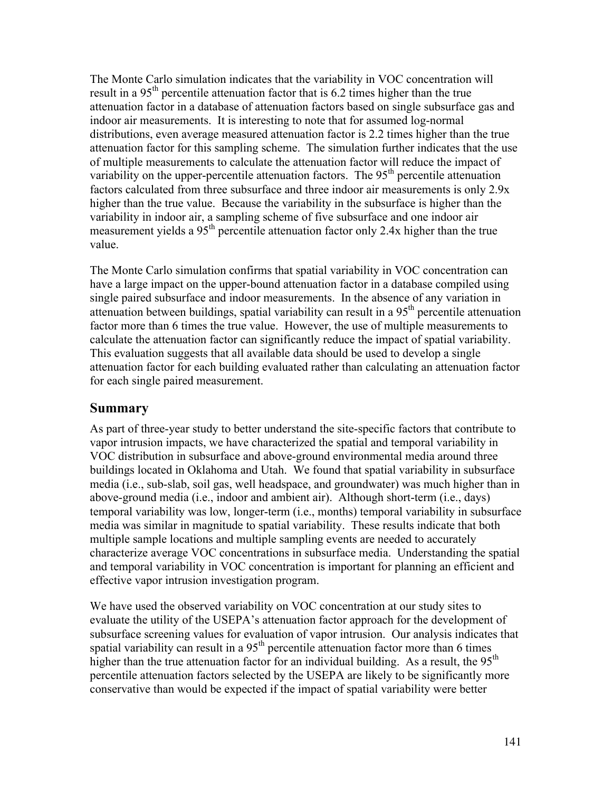The Monte Carlo simulation indicates that the variability in VOC concentration will result in a 95<sup>th</sup> percentile attenuation factor that is 6.2 times higher than the true attenuation factor in a database of attenuation factors based on single subsurface gas and indoor air measurements. It is interesting to note that for assumed log-normal distributions, even average measured attenuation factor is 2.2 times higher than the true attenuation factor for this sampling scheme. The simulation further indicates that the use of multiple measurements to calculate the attenuation factor will reduce the impact of variability on the upper-percentile attenuation factors. The  $95<sup>th</sup>$  percentile attenuation factors calculated from three subsurface and three indoor air measurements is only 2.9x higher than the true value. Because the variability in the subsurface is higher than the variability in indoor air, a sampling scheme of five subsurface and one indoor air measurement yields a 95<sup>th</sup> percentile attenuation factor only 2.4x higher than the true value.

The Monte Carlo simulation confirms that spatial variability in VOC concentration can have a large impact on the upper-bound attenuation factor in a database compiled using single paired subsurface and indoor measurements. In the absence of any variation in attenuation between buildings, spatial variability can result in a 95th percentile attenuation factor more than 6 times the true value. However, the use of multiple measurements to calculate the attenuation factor can significantly reduce the impact of spatial variability. This evaluation suggests that all available data should be used to develop a single attenuation factor for each building evaluated rather than calculating an attenuation factor for each single paired measurement.

### **Summary**

As part of three-year study to better understand the site-specific factors that contribute to vapor intrusion impacts, we have characterized the spatial and temporal variability in VOC distribution in subsurface and above-ground environmental media around three buildings located in Oklahoma and Utah. We found that spatial variability in subsurface media (i.e., sub-slab, soil gas, well headspace, and groundwater) was much higher than in above-ground media (i.e., indoor and ambient air). Although short-term (i.e., days) temporal variability was low, longer-term (i.e., months) temporal variability in subsurface media was similar in magnitude to spatial variability. These results indicate that both multiple sample locations and multiple sampling events are needed to accurately characterize average VOC concentrations in subsurface media. Understanding the spatial and temporal variability in VOC concentration is important for planning an efficient and effective vapor intrusion investigation program.

We have used the observed variability on VOC concentration at our study sites to evaluate the utility of the USEPA's attenuation factor approach for the development of subsurface screening values for evaluation of vapor intrusion. Our analysis indicates that spatial variability can result in a  $95<sup>th</sup>$  percentile attenuation factor more than 6 times higher than the true attenuation factor for an individual building. As a result, the 95<sup>th</sup> percentile attenuation factors selected by the USEPA are likely to be significantly more conservative than would be expected if the impact of spatial variability were better